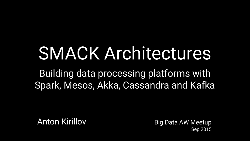# SMACK Architectures

Building data processing platforms with Spark, Mesos, Akka, Cassandra and Kafka

Anton Kirillov Big Data AW Meetup

Sep 2015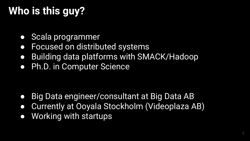# **Who is this guy?**

- Scala programmer
- Focused on distributed systems
- Building data platforms with SMACK/Hadoop
- Ph.D. in Computer Science

- Big Data engineer/consultant at Big Data AB
- Currently at Ooyala Stockholm (Videoplaza AB)
- Working with startups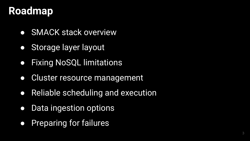# **Roadmap**

- SMACK stack overview
- Storage layer layout
- **Fixing NoSQL limitations**
- Cluster resource management
- Reliable scheduling and execution
- Data ingestion options
- Preparing for failures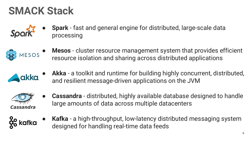# **SMACK Stack**



**Spark** - fast and general engine for distributed, large-scale data processing



**EXECUTE:** Mesos - cluster resource management system that provides efficient resource isolation and sharing across distributed applications



Akka - a toolkit and runtime for building highly concurrent, distributed, and resilient message-driven applications on the JVM



**Cassandra** - distributed, highly available database designed to handle large amounts of data across multiple datacenters



**Kafka** - a high-throughput, low-latency distributed messaging system designed for handling real-time data feeds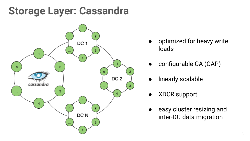#### **Storage Layer: Cassandra**



- optimized for heavy write loads
- configurable CA (CAP)
- linearly scalable
- XDCR support
- easy cluster resizing and inter-DC data migration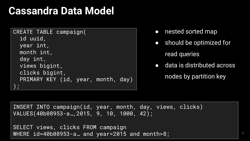#### **Cassandra Data Model**

```
CREATE TABLE campaign(
   id uuid,
   year int,
   month int,
   day int,
   views bigint,
   clicks bigint,
   PRIMARY KEY (id, year, month, day)
);
```
- nested sorted map
- **•** should be optimized for read queries
- data is distributed across nodes by partition key

```
INSERT INTO campaign(id, year, month, day, views, clicks)
VALUES(40b08953-a…,2015, 9, 10, 1000, 42);
```
SELECT views, clicks FROM campaign WHERE id=40b08953-a. and year=2015 and month>8; example the state of  $\frac{6}{6}$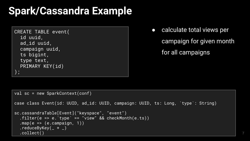#### **Spark/Cassandra Example**

```
CREATE TABLE event(
   id uuid,
   ad_id uuid,
   campaign uuid,
   ts bigint,
   type text,
  PRIMARY KEY(id)
);
```
● calculate total views per campaign for given month for all campaigns

```
val sc = new SparkContext(conf)
```

```
case class Event(id: UUID, ad_id: UUID, campaign: UUID, ts: Long, `type`: String)
```

```
sc.cassandraTable[Event]("keyspace", "event")
 filter(e \Rightarrow e.\text{type} = = "view" \& checkMonth(e-ts))map(e \Rightarrow (e.campa), 1).reduceByKey( + ) .collect() 7
```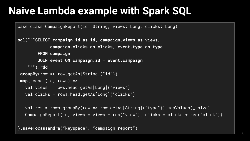#### **Naive Lambda example with Spark SQL**

case class CampaignReport(id: String, views: Long, clicks: Long)

```
sql("""SELECT campaign.id as id, campaign.views as views, 
              campaign.clicks as clicks, event.type as type
         FROM campaign
         JOIN event ON campaign.id = event.campaign
     """).rdd
.groupBy(row => row.getAs[String]("id"))
.map{ case (id, rows) =>
    val views = rows.head.getAs[Long]("views")
   val clicks = rows.head.getAs[Long]("clicks")
    val res = rows.groupBy(row => row.getAs[String]("type")).mapValues(_.size)
    CampaignReport(id, views = views + res("view"), clicks = clicks + res("click"))
```
}.**saveToCassandra**("keyspace", "campaign\_report")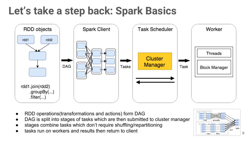# **Let's take a step back: Spark Basics**



- RDD operations (transformations and actions) form DAG
- DAG is split into stages of tasks which are then submitted to cluster manager
- stages combine tasks which don't require shuffling/repartitioning
- tasks run on workers and results then return to client

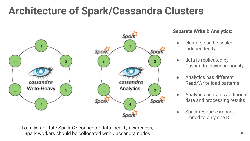#### **Architecture of Spark/Cassandra Clusters**



**Separate Write & Analytics:**

- clusters can be scaled independently
- data is replicated by Cassandra asynchronously
- Analytics has different Read/Write load patterns
- Analytics contains additional data and processing results
- Spark resource impact limited to only one DC

To fully facilitate Spark-C\* connector data locality awareness, Spark workers should be collocated with Cassandra nodes 10 10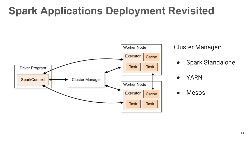### **Spark Applications Deployment Revisited**



Cluster Manager:

- **Spark Standalone**
- **YARN**
- **Mesos**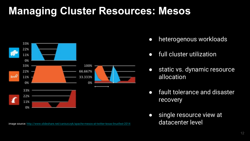#### **Managing Cluster Resources: Mesos**



- heterogenous workloads
- full cluster utilization
- static vs. dynamic resource allocation
- fault tolerance and disaster recovery
- single resource view at image source: <http://www.slideshare.net/caniszczyk/apache-mesos-at-twitter-texas-linuxfest-2014> datacenter level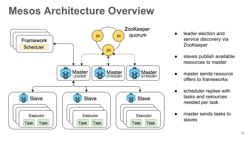# **Mesos Architecture Overview**



- leader election and service discovery via **ZooKeeper**
- slaves publish available resources to master
- master sends resource offers to frameworks
- scheduler replies with tasks and resources needed per task
- master sends tasks to slaves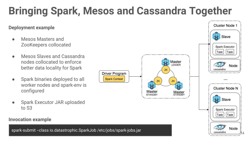# **Bringing Spark, Mesos and Cassandra Together**

#### **Deployment example**

- Mesos Masters and ZooKeepers collocated
- Mesos Slaves and Cassandra nodes collocated to enforce better data locality for Spark
- Spark binaries deployed to all worker nodes and spark-env is configured
- Spark Executor JAR uploaded to S3

#### **Invocation example**

spark-submit --class io.datastrophic.SparkJob /etc/jobs/spark-jobs.jar



Cluster Node 1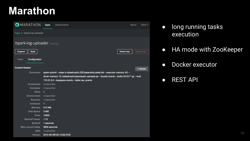### **Marathon**



- long running tasks execution
- **HA mode with ZooKeeper**
- Docker executor
- REST API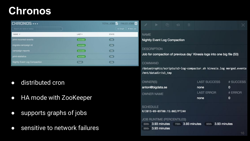#### **Chronos**

| <b>CHRONOS</b>               |                | TOTAL JOBS F FAILED JOBS I   |
|------------------------------|----------------|------------------------------|
| Search job name or status    |                | + New Job<br><b>C3 Graph</b> |
| NAME <b>v</b>                | LAST <b>v</b>  | <b>STATE</b>                 |
| print-incorrect-events       | <b>SUCCESS</b> | dle                          |
| migrate-campaign-id          | <b>SUCCESS</b> | dle                          |
| campaign-reports             | <b>SUCCESS</b> | dle                          |
| print-statistics             | <b>SUCCESS</b> | dle                          |
| Nightly Event Log Compaction | fresh          | idle                         |

- distributed cron
- HA mode with ZooKeeper
- supports graphs of jobs
- **•** sensitive to network failures

|                 | ь                                                                    | 641 | 信子 |                                                                         |              |  |
|-----------------|----------------------------------------------------------------------|-----|----|-------------------------------------------------------------------------|--------------|--|
| <b>NAME</b>     | <b>Nightly Event Log Compaction</b>                                  |     |    |                                                                         |              |  |
|                 | <b>DESCRIPTION</b>                                                   |     |    | Job for compaction of previous day' Kinesis logs into one big file (S3) |              |  |
| <b>COMMAND</b>  |                                                                      |     |    |                                                                         |              |  |
|                 | /mnt/datadir/s3_tmp                                                  |     |    | /datastrophic/scripts/s3-log-compactor.sh kinesis.log merged.events     |              |  |
| OWNER(S)        |                                                                      |     |    | <b>LAST SUCCESS</b>                                                     | # SUCCESS    |  |
|                 | anton@bigdata.se                                                     |     |    | none                                                                    | $\mathbf{0}$ |  |
|                 | <b>OWNER NAME</b>                                                    |     |    | <b>LAST ERROR</b>                                                       | # ERROR      |  |
|                 |                                                                      |     |    | none                                                                    | $\mathbf 0$  |  |
| <b>SCHEDULE</b> | R/2015-09-09T00:15:00Z/PT24H                                         |     |    |                                                                         |              |  |
|                 | LOTATED STATES AND STREETS AND ARRANGEMENTS APPEAR AND ARRANGEMENTS. |     |    |                                                                         |              |  |

| oth 3.93 minutes        | 75th 3.93 minutes | 95th 3.93 minutes |  |
|-------------------------|-------------------|-------------------|--|
| <b>9th 3.93 minutes</b> |                   |                   |  |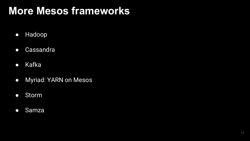#### **More Mesos frameworks**

- Hadoop
- Cassandra
- Kafka
- Myriad: YARN on Mesos
- Storm
- Samza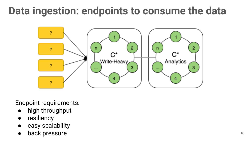## **Data ingestion: endpoints to consume the data**



Endpoint requirements:

- high throughput
- resiliency
- easy scalability
- **back pressure** 18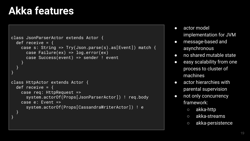#### **Akka features**

}

```
class JsonParserActor extends Actor {
   def receive = {
    case s: String => Try(Join.parse(s).as[Event]) match {
      case Fai\overline{1}ure(ex) \Rightarrow log_error(ex) case Success(event) => sender ! event
 }
 }
}
class HttpActor extends Actor {
  def receive = {
     case req: HttpRequest => 
       system.actorOf(Props[JsonParserActor]) ! req.body
     case e: Event =>
       system.actorOf(Props[CassandraWriterActor]) ! e
 }
```
- actor model implementation for JVM
- message-based and asynchronous
- no shared mutable state
- **•** easy scalability from one process to cluster of machines
- **•** actor hierarchies with parental supervision
- not only concurrency framework:
	- akka-http
	- akka-streams
	- akka-persistence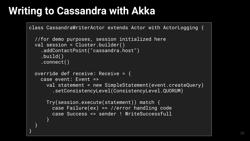# **Writing to Cassandra with Akka**

```
class CassandraWriterActor extends Actor with ActorLogging {
   //for demo purposes, session initialized here
   val session = Cluster.builder()
     .addContactPoint("cassandra.host")
     .build()
     .connect()
   override def receive: Receive = {
     case event: Event =>
       val statement = new SimpleStatement(event.createQuery)
         .setConsistencyLevel(ConsistencyLevel.QUORUM)
       Try(session.execute(statement)) match {
         case Failure(ex) => //error handling code
         case Success => sender ! WriteSuccessfull
\begin{array}{ccc} & & \rightarrow & \rightarrow & \rightarrow & \rightarrow & \end{array} }
\} 20
```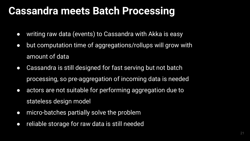#### **Cassandra meets Batch Processing**

- writing raw data (events) to Cassandra with Akka is easy
- but computation time of aggregations/rollups will grow with amount of data
- Cassandra is still designed for fast serving but not batch processing, so pre-aggregation of incoming data is needed
- actors are not suitable for performing aggregation due to stateless design model
- micro-batches partially solve the problem
- reliable storage for raw data is still needed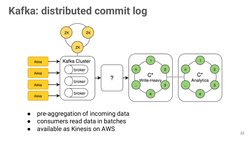# **Kafka: distributed commit log**



- pre-aggregation of incoming data
- consumers read data in batches
- available as Kinesis on AWS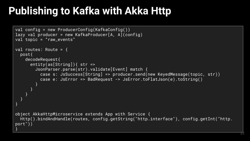# **Publishing to Kafka with Akka Http**

```
val config = new ProducerConfig(KafkaConfig())
lazy val producer = new KafkaProducerA, Al(config)
val topic = "raw_events"
val routes: Route = {
   post{
     decodeRequest{
      entity(as[String]){ str =>
         JsonParser.parse(str).validate[Event] match {
           case s: JsSuccess[String] => producer.send(new KeyedMessage(topic, str))
           case e: JsError => BadRequest -> JsError.toFlatJson(e).toString()
 }
\longrightarrow \longrightarrow }
 } 
}
object AkkaHttpMicroservice extends App with Service {
   Http().bindAndHandle(routes, config.getString("http.interface"), config.getInt("http.
port"))
}
```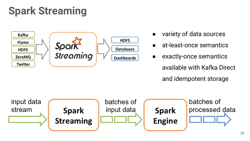# **Spark Streaming**



- variety of data sources
- at-least-once semantics
- exactly-once semantics available with Kafka Direct and idempotent storage

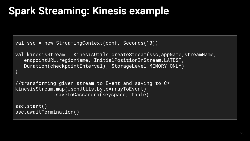#### **Spark Streaming: Kinesis example**

```
val ssc = new StreamingContext(conf, Seconds(10))
```
val kinesisStream = KinesisUtils.createStream(ssc.appName.streamName, endpointURL,regionName, InitialPositionInStream.LATEST, Duration(checkpointInterval), StorageLevel.MEMORY\_ONLY) }

//transforming given stream to Event and saving to  $C*$ kinesisStream.map(JsonUtils.byteArrayToEvent) .saveToCassandra(keyspace, table)

ssc.start() ssc.awaitTermination()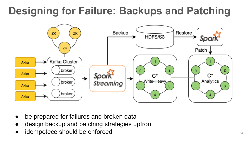# **Designing for Failure: Backups and Patching**



- be prepared for failures and broken data
- design backup and patching strategies upfront
- $\blacksquare$  idempotece should be enforced  $\blacksquare$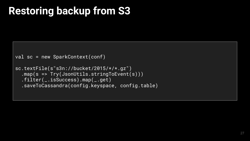#### **Restoring backup from S3**

```
val sc = new SparkContext(conf)
sc.textFile(s"s3n://bucket/2015/*/*.gz")
   .map(s => Try(JsonUtils.stringToEvent(s)))
   .filter(_.isSuccess).map(_.get)
   .saveToCassandra(config.keyspace, config.table)
```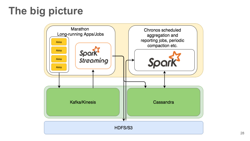# **The big picture**

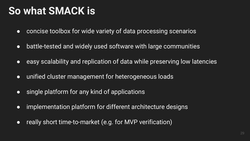#### **So what SMACK is**

- concise toolbox for wide variety of data processing scenarios
- battle-tested and widely used software with large communities
- easy scalability and replication of data while preserving low latencies
- unified cluster management for heterogeneous loads
- single platform for any kind of applications
- implementation platform for different architecture designs
- really short time-to-market (e.g. for MVP verification)